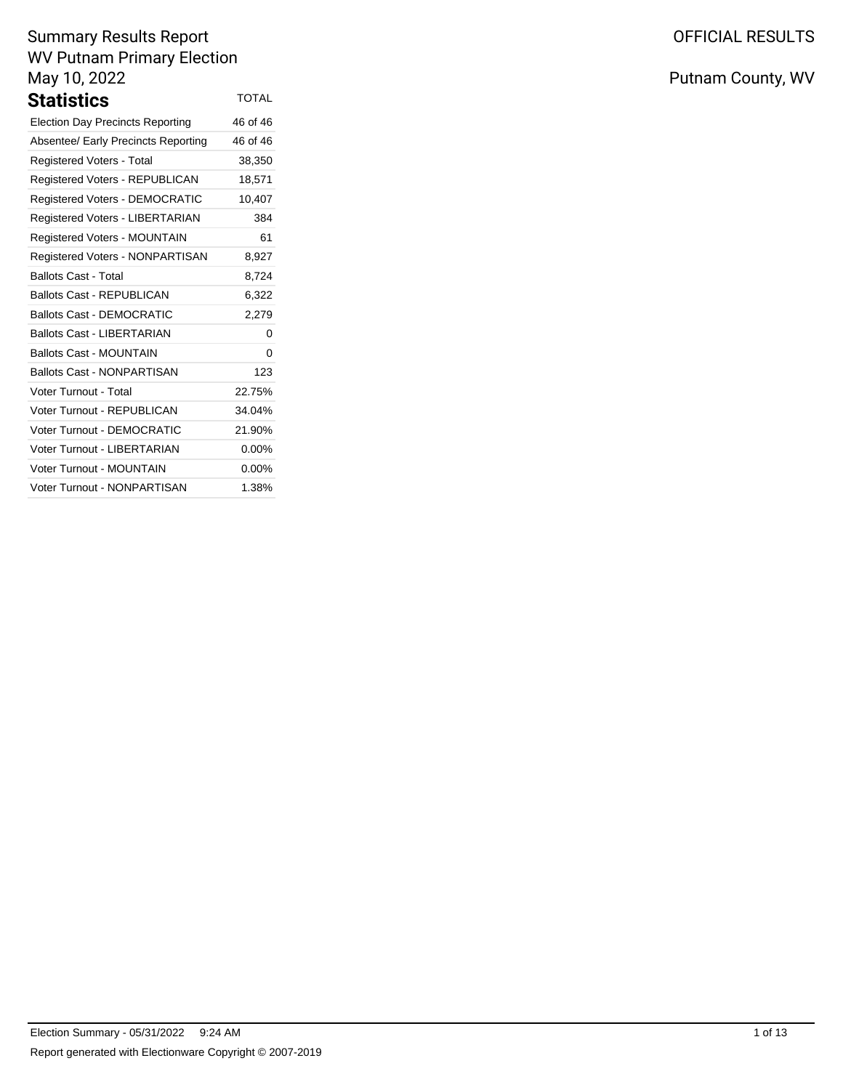| Statistics                              | <b>TOTAL</b> |
|-----------------------------------------|--------------|
| <b>Election Day Precincts Reporting</b> | 46 of 46     |
| Absentee/ Early Precincts Reporting     | 46 of 46     |
| <b>Registered Voters - Total</b>        | 38,350       |
| Registered Voters - REPUBLICAN          | 18,571       |
| <b>Registered Voters - DEMOCRATIC</b>   | 10,407       |
| Registered Voters - LIBERTARIAN         | 384          |
| Registered Voters - MOUNTAIN            | 61           |
| Registered Voters - NONPARTISAN         | 8,927        |
| <b>Ballots Cast - Total</b>             | 8,724        |
| <b>Ballots Cast - REPUBLICAN</b>        | 6,322        |
| <b>Ballots Cast - DEMOCRATIC</b>        | 2,279        |
| Ballots Cast - LIBERTARIAN              | 0            |
| <b>Ballots Cast - MOUNTAIN</b>          | 0            |
| <b>Ballots Cast - NONPARTISAN</b>       | 123          |
| <b>Voter Turnout - Total</b>            | 22.75%       |
| Voter Turnout - REPUBLICAN              | 34.04%       |
| Voter Turnout - DEMOCRATIC              | 21.90%       |
| Voter Turnout - LIBERTARIAN             | $0.00\%$     |
| Voter Turnout - MOUNTAIN                | $0.00\%$     |
| Voter Turnout - NONPARTISAN             | 1.38%        |

# OFFICIAL RESULTS

Putnam County, WV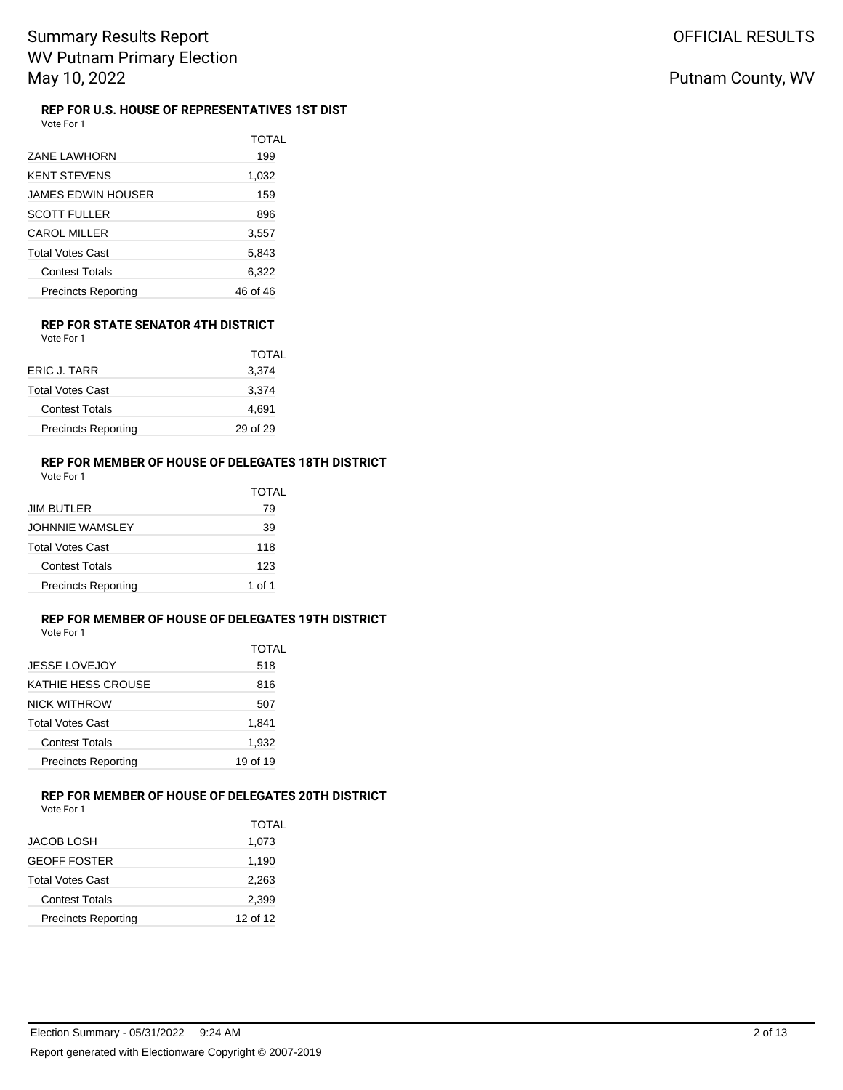#### **REP FOR U.S. HOUSE OF REPRESENTATIVES 1ST DIST** Vote For 1

| <b>ZANE LAWHORN</b>        | TOTAL<br>199 |
|----------------------------|--------------|
| <b>KENT STEVENS</b>        | 1,032        |
| <b>JAMES EDWIN HOUSER</b>  | 159          |
| <b>SCOTT FULLER</b>        | 896          |
| <b>CAROL MILLER</b>        | 3,557        |
| <b>Total Votes Cast</b>    | 5,843        |
| <b>Contest Totals</b>      | 6,322        |
| <b>Precincts Reporting</b> | 46 of 46     |

#### **REP FOR STATE SENATOR 4TH DISTRICT** Vote For 1

|                            | TOTAL    |
|----------------------------|----------|
| ERIC J. TARR               | 3,374    |
| <b>Total Votes Cast</b>    | 3,374    |
| <b>Contest Totals</b>      | 4,691    |
| <b>Precincts Reporting</b> | 29 of 29 |

### **REP FOR MEMBER OF HOUSE OF DELEGATES 18TH DISTRICT**

| Vote For 1 |  |  |
|------------|--|--|
|------------|--|--|

|                            | TOTAL  |  |  |  |
|----------------------------|--------|--|--|--|
| JIM BUTLER                 | 79     |  |  |  |
| JOHNNIE WAMSLEY            | 39     |  |  |  |
| Total Votes Cast           | 118    |  |  |  |
| <b>Contest Totals</b>      | 123    |  |  |  |
| <b>Precincts Reporting</b> | 1 of 1 |  |  |  |

# **REP FOR MEMBER OF HOUSE OF DELEGATES 19TH DISTRICT**

Vote For 1

|                            | TOTAL    |
|----------------------------|----------|
| <b>JESSE LOVEJOY</b>       | 518      |
| KATHIE HESS CROUSE         | 816      |
| NICK WITHROW               | 507      |
| Total Votes Cast           | 1,841    |
| <b>Contest Totals</b>      | 1,932    |
| <b>Precincts Reporting</b> | 19 of 19 |
|                            |          |

# **REP FOR MEMBER OF HOUSE OF DELEGATES 20TH DISTRICT**

Vote For 1

|  | ER OF HOUSE OF DELEGATES 20TH DISTF |  |  |  |  |  |
|--|-------------------------------------|--|--|--|--|--|
|  |                                     |  |  |  |  |  |

|                            | <b>TOTAL</b> |
|----------------------------|--------------|
| JACOB LOSH                 | 1,073        |
| GEOFF FOSTER               | 1,190        |
| Total Votes Cast           | 2,263        |
| <b>Contest Totals</b>      | 2,399        |
| <b>Precincts Reporting</b> | 12 of 12     |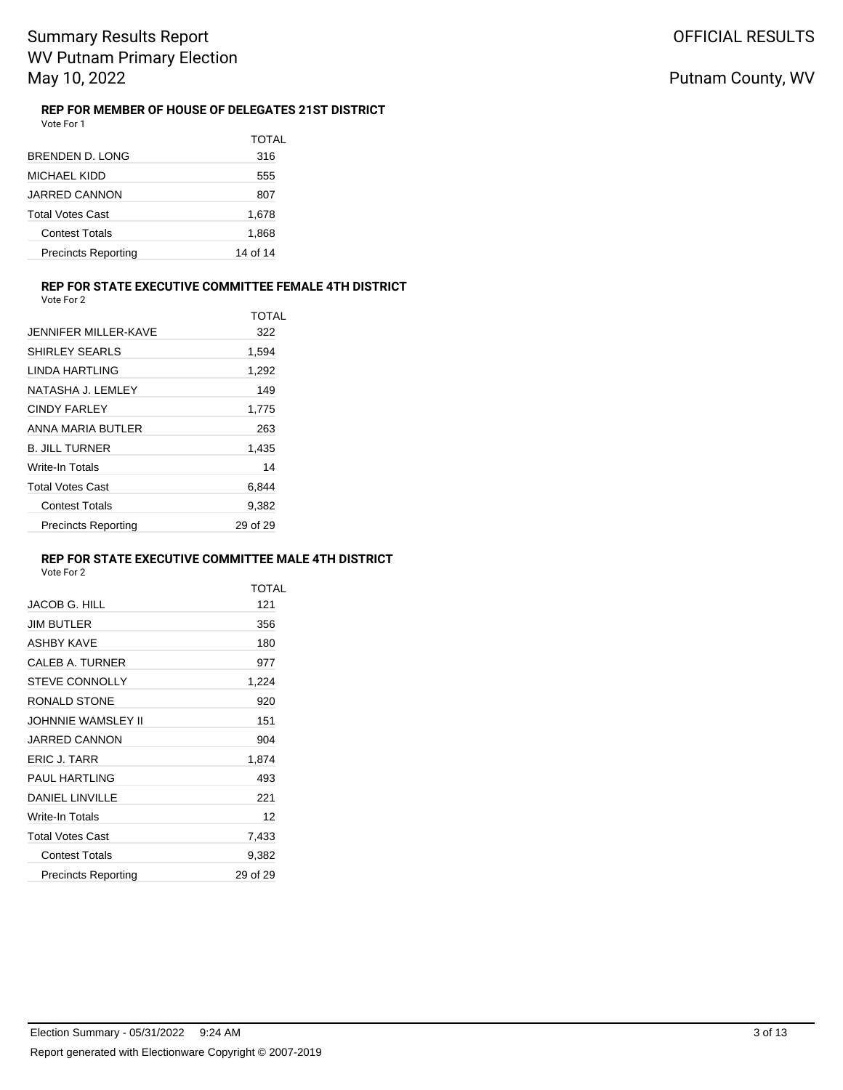#### **REP FOR MEMBER OF HOUSE OF DELEGATES 21ST DISTRICT** Vote For 1

|                            | TOTAL    |
|----------------------------|----------|
| BRENDEN D. LONG            | 316      |
| MICHAEL KIDD               | 555      |
| <b>JARRED CANNON</b>       | 807      |
| <b>Total Votes Cast</b>    | 1,678    |
| <b>Contest Totals</b>      | 1,868    |
| <b>Precincts Reporting</b> | 14 of 14 |

#### **REP FOR STATE EXECUTIVE COMMITTEE FEMALE 4TH DISTRICT**

| Vote For 2 |  |
|------------|--|
|------------|--|

|                            | TOTAL    |
|----------------------------|----------|
| JENNIFFR MILLER-KAVE       | 322      |
| <b>SHIRLEY SEARLS</b>      | 1,594    |
| I INDA HARTI ING           | 1,292    |
| NATASHA J. LEMLEY          | 149      |
| CINDY FARI FY              | 1,775    |
| ANNA MARIA BUTLER          | 263      |
| <b>B. JILL TURNER</b>      | 1,435    |
| Write-In Totals            | 14       |
| <b>Total Votes Cast</b>    | 6,844    |
| <b>Contest Totals</b>      | 9,382    |
| <b>Precincts Reporting</b> | 29 of 29 |

### **REP FOR STATE EXECUTIVE COMMITTEE MALE 4TH DISTRICT**

|                            | <b>TOTAL</b> |
|----------------------------|--------------|
| <b>JACOB G. HILL</b>       | 121          |
| <b>JIM BUTLER</b>          | 356          |
| <b>ASHBY KAVE</b>          | 180          |
| <b>CALEB A. TURNER</b>     | 977          |
| <b>STEVE CONNOLLY</b>      | 1,224        |
| RONALD STONE               | 920          |
| JOHNNIE WAMSLEY II         | 151          |
| JARRED CANNON              | 904          |
| ERIC J. TARR               | 1,874        |
| <b>PAUL HARTLING</b>       | 493          |
| <b>DANIEL LINVILLE</b>     | 221          |
| Write-In Totals            | 12           |
| <b>Total Votes Cast</b>    | 7,433        |
| <b>Contest Totals</b>      | 9,382        |
| <b>Precincts Reporting</b> | 29 of 29     |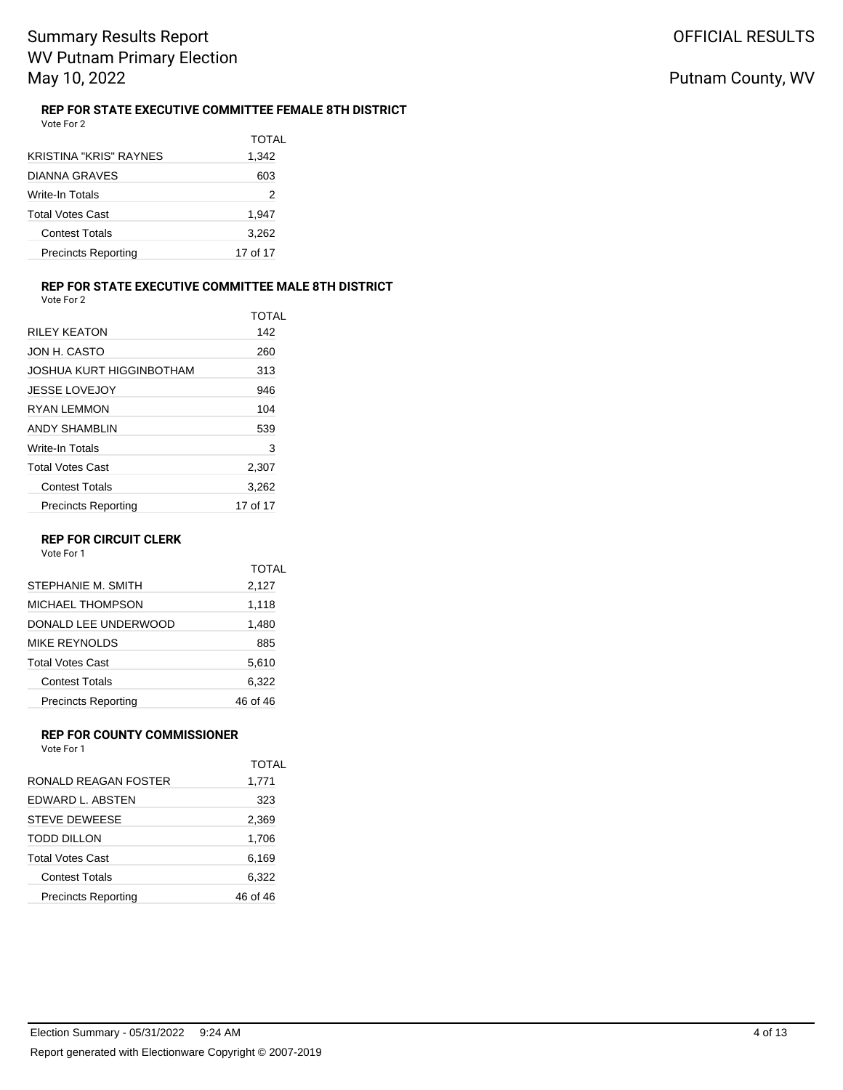Putnam County, WV

#### **REP FOR STATE EXECUTIVE COMMITTEE FEMALE 8TH DISTRICT** Vote For 2

|                               | TOTAL    |
|-------------------------------|----------|
| <b>KRISTINA "KRIS" RAYNES</b> | 1,342    |
| DIANNA GRAVES                 | 603      |
| Write-In Totals               | 2        |
| <b>Total Votes Cast</b>       | 1,947    |
| <b>Contest Totals</b>         | 3,262    |
| <b>Precincts Reporting</b>    | 17 of 17 |

### **REP FOR STATE EXECUTIVE COMMITTEE MALE 8TH DISTRICT**

Vote For 2

|                            | TOTAL    |
|----------------------------|----------|
| <b>RILFY KEATON</b>        | 142      |
| JON H. CASTO               | 260      |
| JOSHUA KURT HIGGINBOTHAM   | 313      |
| <b>JESSE LOVEJOY</b>       | 946      |
| RYAN I FMMON               | 104      |
| ANDY SHAMBLIN              | 539      |
| Write-In Totals            | 3        |
| <b>Total Votes Cast</b>    | 2,307    |
| <b>Contest Totals</b>      | 3,262    |
| <b>Precincts Reporting</b> | 17 of 17 |

#### **REP FOR CIRCUIT CLERK**

Vote For 1

|                            | <b>TOTAL</b> |
|----------------------------|--------------|
| STEPHANIE M. SMITH         | 2,127        |
| MICHAEL THOMPSON           | 1,118        |
| DONALD LEE UNDERWOOD       | 1,480        |
| MIKE REYNOLDS              | 885          |
| <b>Total Votes Cast</b>    | 5,610        |
| <b>Contest Totals</b>      | 6,322        |
| <b>Precincts Reporting</b> | 46 of 46     |

## **REP FOR COUNTY COMMISSIONER**

Vote For 1

| RONALD REAGAN FOSTER       | TOTAL<br>1,771 |
|----------------------------|----------------|
| FDWARD L. ABSTEN           | 323            |
| STEVE DEWEESE              | 2,369          |
| TODD DILLON                | 1,706          |
| <b>Total Votes Cast</b>    | 6.169          |
| Contest Totals             | 6,322          |
| <b>Precincts Reporting</b> | 46 of 46       |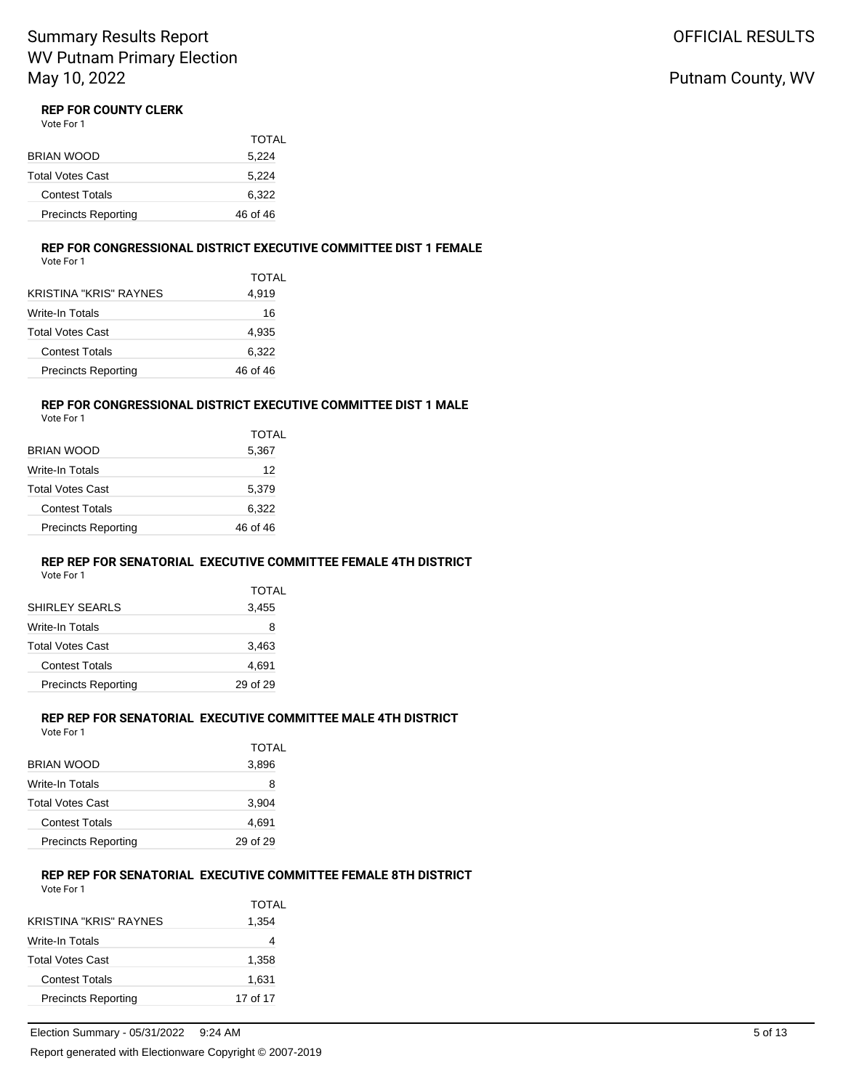# Putnam County, WV

# **REP FOR COUNTY CLERK**<br>Vote For 1

|  | Vote For 1 |  |
|--|------------|--|
|  |            |  |

|                            | TOTAL    |
|----------------------------|----------|
| BRIAN WOOD                 | 5,224    |
| Total Votes Cast           | 5,224    |
| <b>Contest Totals</b>      | 6,322    |
| <b>Precincts Reporting</b> | 46 of 46 |

#### **REP FOR CONGRESSIONAL DISTRICT EXECUTIVE COMMITTEE DIST 1 FEMALE**

Vote For 1

| <b>TOTAL</b><br>4,919 |
|-----------------------|
| 16                    |
| 4,935                 |
| 6,322                 |
| 46 of 46              |
|                       |

### **REP FOR CONGRESSIONAL DISTRICT EXECUTIVE COMMITTEE DIST 1 MALE**

Vote For 1

|                            | TOTAL    |
|----------------------------|----------|
| BRIAN WOOD                 | 5,367    |
| Write-In Totals            | 12       |
| Total Votes Cast           | 5,379    |
| <b>Contest Totals</b>      | 6,322    |
| <b>Precincts Reporting</b> | 46 of 46 |
|                            |          |

### **REP REP FOR SENATORIAL EXECUTIVE COMMITTEE FEMALE 4TH DISTRICT**

Vote For 1

| <b>TOTAL</b> |
|--------------|
| 3,455        |
| 8            |
| 3,463        |
| 4,691        |
| 29 of 29     |
|              |

### **REP REP FOR SENATORIAL EXECUTIVE COMMITTEE MALE 4TH DISTRICT**

Vote For 1

|                            | TOTAL    |
|----------------------------|----------|
| BRIAN WOOD                 | 3,896    |
| Write-In Totals            | 8        |
| Total Votes Cast           | 3,904    |
| <b>Contest Totals</b>      | 4,691    |
| <b>Precincts Reporting</b> | 29 of 29 |
|                            |          |

### **REP REP FOR SENATORIAL EXECUTIVE COMMITTEE FEMALE 8TH DISTRICT**

| Vote For 1                    |          |
|-------------------------------|----------|
|                               | TOTAL    |
| <b>KRISTINA "KRIS" RAYNES</b> | 1,354    |
| Write-In Totals               |          |
| <b>Total Votes Cast</b>       | 1,358    |
| <b>Contest Totals</b>         | 1,631    |
| <b>Precincts Reporting</b>    | 17 of 17 |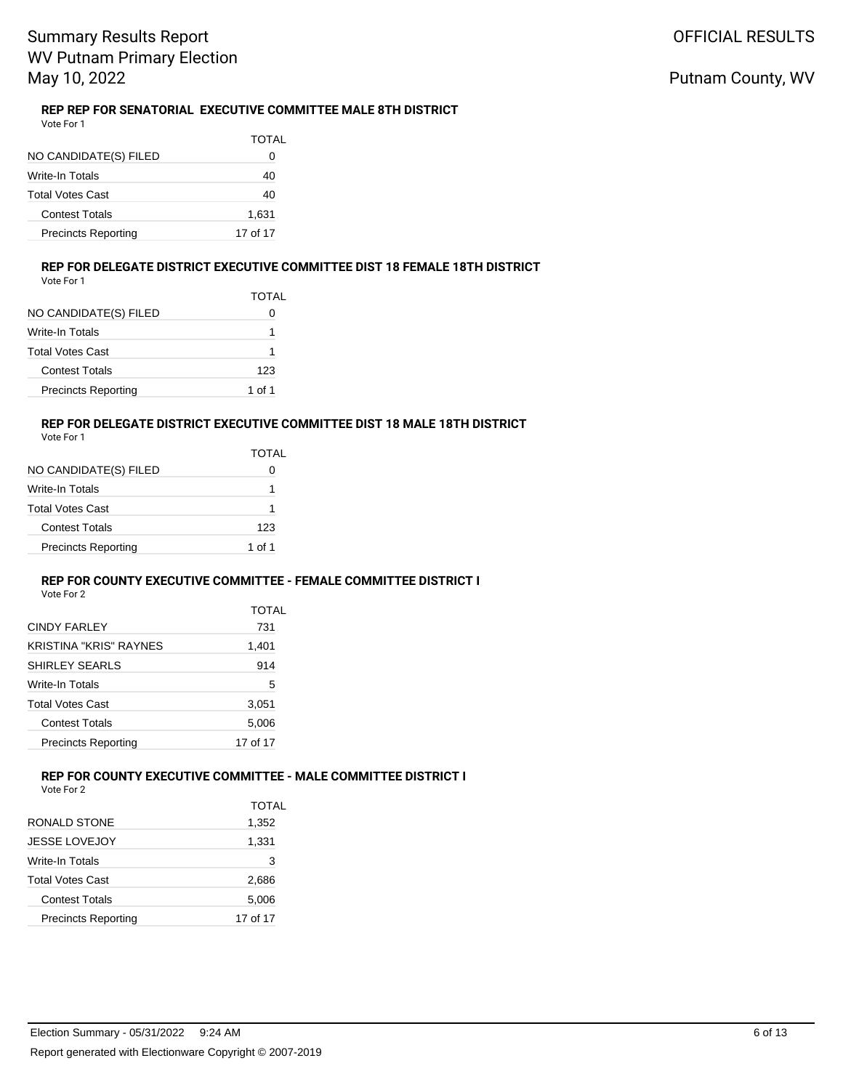#### **REP REP FOR SENATORIAL EXECUTIVE COMMITTEE MALE 8TH DISTRICT** Vote For 1

| NO CANDIDATE(S) FILED      | TOTAL<br>0 |
|----------------------------|------------|
| Write-In Totals            | 40         |
| <b>Total Votes Cast</b>    | 40         |
| Contest Totals             | 1,631      |
| <b>Precincts Reporting</b> | 17 of 17   |

#### **REP FOR DELEGATE DISTRICT EXECUTIVE COMMITTEE DIST 18 FEMALE 18TH DISTRICT** Vote For 1

| NO CANDIDATE(S) FILED      | <b>TOTAL</b> |
|----------------------------|--------------|
| Write-In Totals            |              |
| Total Votes Cast           | 1            |
| <b>Contest Totals</b>      | 123          |
| <b>Precincts Reporting</b> | 1 of 1       |

### **REP FOR DELEGATE DISTRICT EXECUTIVE COMMITTEE DIST 18 MALE 18TH DISTRICT**

| Vote For |  |
|----------|--|
|          |  |

|                            | TOTAL  |
|----------------------------|--------|
| NO CANDIDATE(S) FILED      |        |
| Write-In Totals            | 1      |
| Total Votes Cast           | 1      |
| <b>Contest Totals</b>      | 123    |
| <b>Precincts Reporting</b> | 1 of 1 |
|                            |        |

### **REP FOR COUNTY EXECUTIVE COMMITTEE - FEMALE COMMITTEE DISTRICT I**

|                            | <b>TOTAL</b> |
|----------------------------|--------------|
| <b>CINDY FARLEY</b>        | 731          |
| KRISTINA "KRIS" RAYNES     | 1,401        |
| SHIRLEY SEARLS             | 914          |
| Write-In Totals            | 5            |
| Total Votes Cast           | 3,051        |
| <b>Contest Totals</b>      | 5,006        |
| <b>Precincts Reporting</b> | 17 of 17     |

### **REP FOR COUNTY EXECUTIVE COMMITTEE - MALE COMMITTEE DISTRICT I**

Vote For 2

|                      | <b>TOTAL</b> |
|----------------------|--------------|
| RONALD STONE         | 1,352        |
| <b>JESSE LOVEJOY</b> | 1.331        |

| Write-In Totals            | 3        |
|----------------------------|----------|
| Total Votes Cast           | 2.686    |
| <b>Contest Totals</b>      | 5.006    |
| <b>Precincts Reporting</b> | 17 of 17 |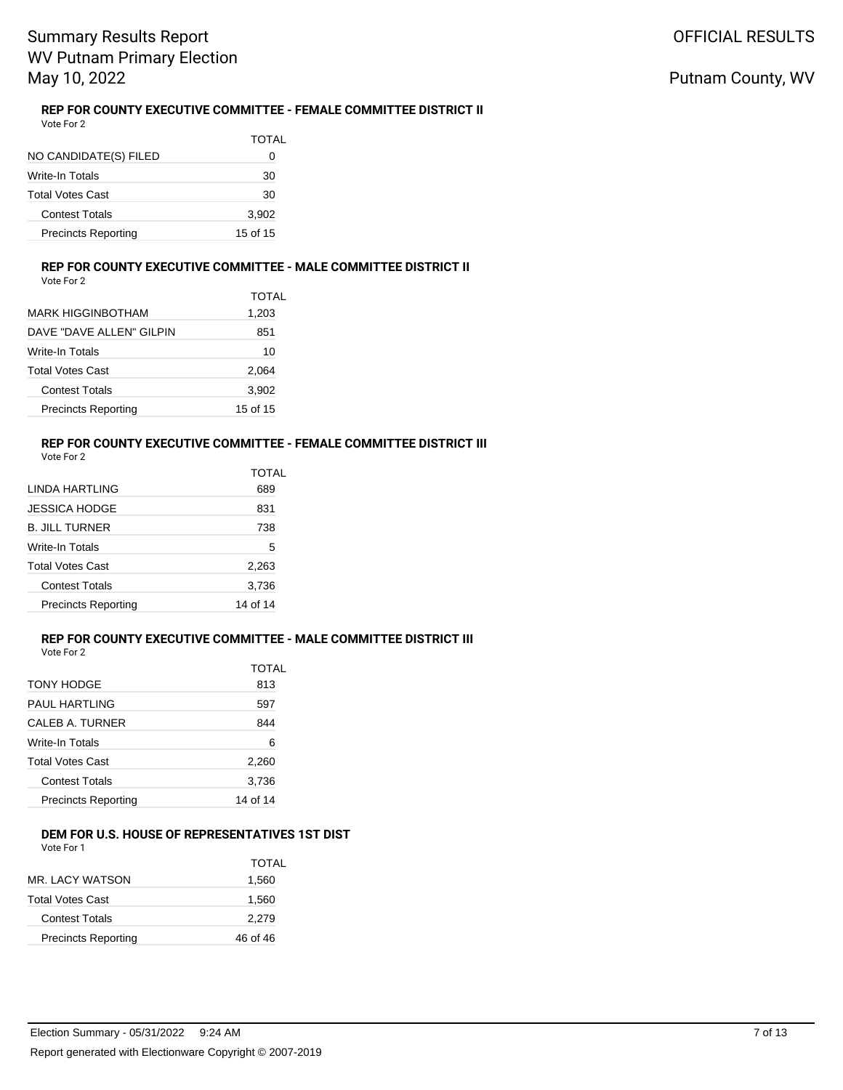#### **REP FOR COUNTY EXECUTIVE COMMITTEE - FEMALE COMMITTEE DISTRICT II** Vote For 2

| NO CANDIDATE(S) FILED      | TOTAL<br>0 |
|----------------------------|------------|
| Write-In Totals            | 30         |
| <b>Total Votes Cast</b>    | 30         |
| Contest Totals             | 3,902      |
| <b>Precincts Reporting</b> | 15 of 15   |

#### **REP FOR COUNTY EXECUTIVE COMMITTEE - MALE COMMITTEE DISTRICT II** Vote For 2

|                            | TOTAL    |
|----------------------------|----------|
| MARK HIGGINBOTHAM          | 1,203    |
| DAVE "DAVE ALLEN" GILPIN   | 851      |
| Write-In Totals            | 10       |
| Total Votes Cast           | 2,064    |
| <b>Contest Totals</b>      | 3,902    |
| <b>Precincts Reporting</b> | 15 of 15 |

# **REP FOR COUNTY EXECUTIVE COMMITTEE - FEMALE COMMITTEE DISTRICT III**

| Vote For 2 |  |  |
|------------|--|--|
|------------|--|--|

|                            | TOTAL    |
|----------------------------|----------|
| I INDA HARTI ING           | 689      |
| JESSICA HODGE              | 831      |
| <b>B. JILL TURNER</b>      | 738      |
| Write-In Totals            | 5        |
| <b>Total Votes Cast</b>    | 2,263    |
| <b>Contest Totals</b>      | 3,736    |
| <b>Precincts Reporting</b> | 14 of 14 |
|                            |          |

### **REP FOR COUNTY EXECUTIVE COMMITTEE - MALE COMMITTEE DISTRICT III**

| Vote For 2 |  |
|------------|--|
|------------|--|

|                            | TOTAL    |
|----------------------------|----------|
| TONY HODGE                 | 813      |
| PAUL HARTLING              | 597      |
| CALEB A. TURNER            | 844      |
| Write-In Totals            | 6        |
| <b>Total Votes Cast</b>    | 2,260    |
| <b>Contest Totals</b>      | 3,736    |
| <b>Precincts Reporting</b> | 14 of 14 |

### **DEM FOR U.S. HOUSE OF REPRESENTATIVES 1ST DIST**

Vote For 1

|                            | TOTAI    |
|----------------------------|----------|
| MR. LACY WATSON            | 1,560    |
| <b>Total Votes Cast</b>    | 1,560    |
| <b>Contest Totals</b>      | 2,279    |
| <b>Precincts Reporting</b> | 46 of 46 |
|                            |          |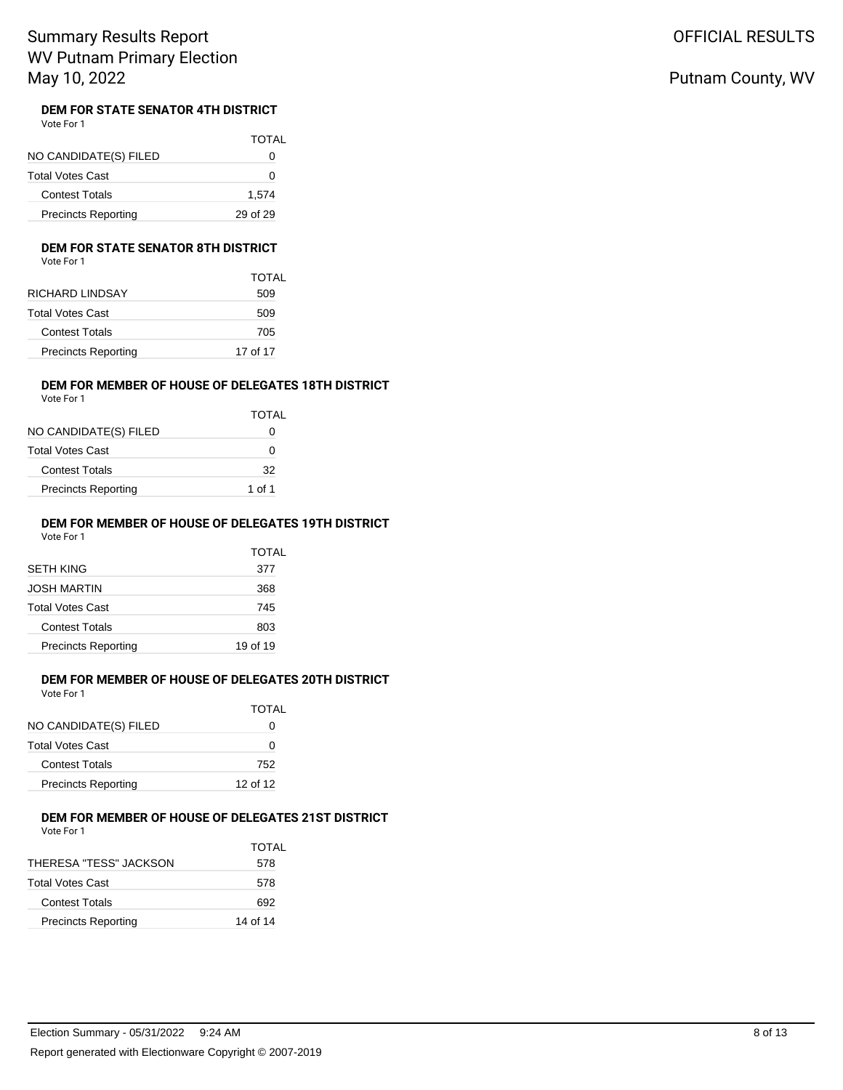OFFICIAL RESULTS

# Putnam County, WV

### **DEM FOR STATE SENATOR 4TH DISTRICT**

| Vote For 1 |  |
|------------|--|
|            |  |

|                            | <b>TOTAL</b> |
|----------------------------|--------------|
| NO CANDIDATE(S) FILED      | 0            |
| <b>Total Votes Cast</b>    | Ω            |
| <b>Contest Totals</b>      | 1,574        |
| <b>Precincts Reporting</b> | 29 of 29     |

#### **DEM FOR STATE SENATOR 8TH DISTRICT**

| Vote For 1 |  |
|------------|--|
|            |  |

| TOTAL    |
|----------|
| 509      |
| 509      |
| 705      |
| 17 of 17 |
|          |

#### **DEM FOR MEMBER OF HOUSE OF DELEGATES 18TH DISTRICT** Vote For 1

|                            | <b>TOTAL</b> |
|----------------------------|--------------|
| NO CANDIDATE(S) FILED      | $\lceil$     |
| Total Votes Cast           | $\mathbf{I}$ |
| <b>Contest Totals</b>      | 32           |
| <b>Precincts Reporting</b> | 1 of 1       |

### **DEM FOR MEMBER OF HOUSE OF DELEGATES 19TH DISTRICT**

Vote For 1

|                            | TOTAL    |
|----------------------------|----------|
| SETH KING                  | 377      |
| JOSH MARTIN                | 368      |
| Total Votes Cast           | 745      |
| <b>Contest Totals</b>      | 803      |
| <b>Precincts Reporting</b> | 19 of 19 |

#### **DEM FOR MEMBER OF HOUSE OF DELEGATES 20TH DISTRICT** Vote For 1

|                            | TOTAL    |
|----------------------------|----------|
| NO CANDIDATE(S) FILED      | 0        |
| Total Votes Cast           | O        |
| <b>Contest Totals</b>      | 752      |
| <b>Precincts Reporting</b> | 12 of 12 |
|                            |          |

# **DEM FOR MEMBER OF HOUSE OF DELEGATES 21ST DISTRICT**<br>Vote For 1

| Vote For 1 |  |
|------------|--|
|------------|--|

|                            | TOTAL    |
|----------------------------|----------|
| THERESA "TESS" JACKSON     | 578      |
| Total Votes Cast           | 578      |
| <b>Contest Totals</b>      | 692      |
| <b>Precincts Reporting</b> | 14 of 14 |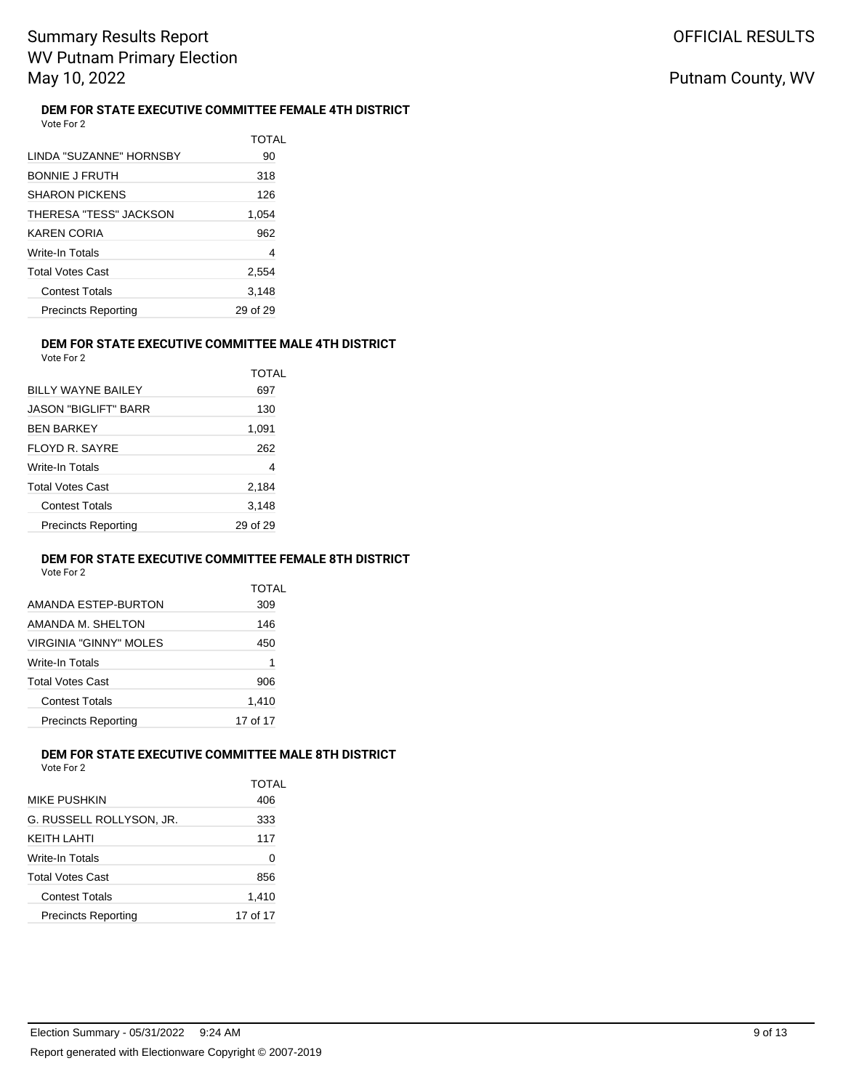#### **DEM FOR STATE EXECUTIVE COMMITTEE FEMALE 4TH DISTRICT** Vote For 2

| LINDA "SUZANNE" HORNSBY    | TOTAL<br>90 |
|----------------------------|-------------|
| <b>BONNIE J FRUTH</b>      | 318         |
| <b>SHARON PICKENS</b>      | 126         |
| THERESA "TESS" JACKSON     | 1,054       |
| KAREN CORIA                | 962         |
| Write-In Totals            | 4           |
| Total Votes Cast           | 2,554       |
| <b>Contest Totals</b>      | 3.148       |
| <b>Precincts Reporting</b> | 29 of 29    |

#### **DEM FOR STATE EXECUTIVE COMMITTEE MALE 4TH DISTRICT** Vote For 2

| BILLY WAYNE BAILEY         | TOTAL<br>697 |
|----------------------------|--------------|
| JASON "BIGLIFT" BARR       | 130          |
| <b>BEN BARKEY</b>          | 1,091        |
| FLOYD R. SAYRE             | 262          |
| <b>Write-In Totals</b>     | 4            |
| <b>Total Votes Cast</b>    | 2,184        |
| <b>Contest Totals</b>      | 3,148        |
| <b>Precincts Reporting</b> | 29 of 29     |

### **DEM FOR STATE EXECUTIVE COMMITTEE FEMALE 8TH DISTRICT**

|                            | TOTAI    |
|----------------------------|----------|
| AMANDA ESTEP-BURTON        | 309      |
| AMANDA M. SHEI TON         | 146      |
| VIRGINIA "GINNY" MOI FS    | 450      |
| Write-In Totals            | 1        |
| <b>Total Votes Cast</b>    | 906      |
| Contest Totals             | 1,410    |
| <b>Precincts Reporting</b> | 17 of 17 |

#### **DEM FOR STATE EXECUTIVE COMMITTEE MALE 8TH DISTRICT** Vote For 2

| MIKE PUSHKIN               | TOTAL<br>406 |
|----------------------------|--------------|
| G. RUSSELL ROLLYSON. JR.   | 333          |
| KEITH LAHTI                | 117          |
| Write-In Totals            | 0            |
| <b>Total Votes Cast</b>    | 856          |
| <b>Contest Totals</b>      | 1,410        |
| <b>Precincts Reporting</b> | 17 of 17     |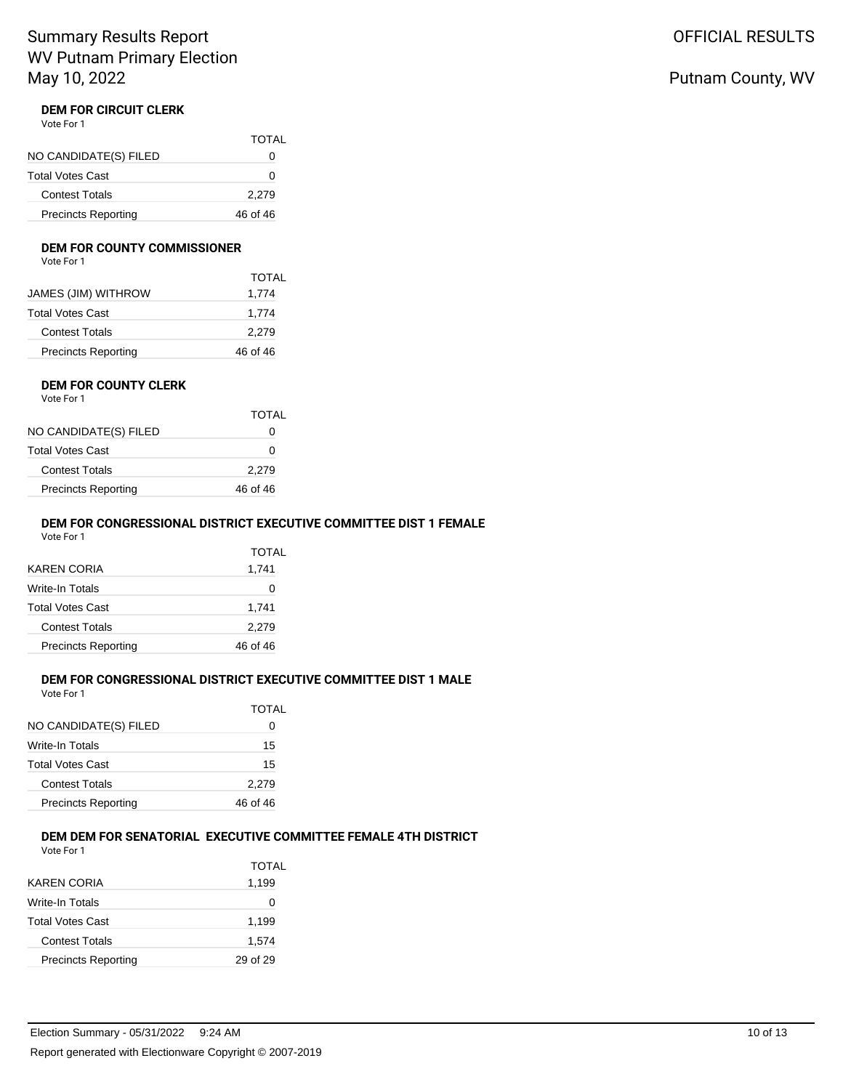#### **DEM FOR CIRCUIT CLERK** Vote For 1

|                            | TOTAL    |
|----------------------------|----------|
| NO CANDIDATE(S) FILED      | 0        |
| <b>Total Votes Cast</b>    | O        |
| <b>Contest Totals</b>      | 2,279    |
| <b>Precincts Reporting</b> | 46 of 46 |

#### **DEM FOR COUNTY COMMISSIONER**

|                            | <b>TOTAL</b> |
|----------------------------|--------------|
| JAMES (JIM) WITHROW        | 1,774        |
| Total Votes Cast           | 1,774        |
| <b>Contest Totals</b>      | 2,279        |
| <b>Precincts Reporting</b> | 46 of 46     |
|                            |              |

#### **DEM FOR COUNTY CLERK** Vote For 1

|                            | TOTAL    |
|----------------------------|----------|
| NO CANDIDATE(S) FILED      |          |
| Total Votes Cast           | O        |
| <b>Contest Totals</b>      | 2,279    |
| <b>Precincts Reporting</b> | 46 of 46 |
|                            |          |

### **DEM FOR CONGRESSIONAL DISTRICT EXECUTIVE COMMITTEE DIST 1 FEMALE**

Vote For 1

|                            | TOTAL    |
|----------------------------|----------|
| KAREN CORIA                | 1,741    |
| Write-In Totals            | O        |
| Total Votes Cast           | 1.741    |
| Contest Totals             | 2,279    |
| <b>Precincts Reporting</b> | 46 of 46 |
|                            |          |

### **DEM FOR CONGRESSIONAL DISTRICT EXECUTIVE COMMITTEE DIST 1 MALE**

Vote For 1

|                            | TOTAL    |
|----------------------------|----------|
| NO CANDIDATE(S) FILED      | 0        |
| <b>Write-In Totals</b>     | 15       |
| <b>Total Votes Cast</b>    | 15       |
| <b>Contest Totals</b>      | 2,279    |
| <b>Precincts Reporting</b> | 46 of 46 |

### **DEM DEM FOR SENATORIAL EXECUTIVE COMMITTEE FEMALE 4TH DISTRICT**

Vote For 1

|                            | TOTAL    |
|----------------------------|----------|
| KAREN CORIA                | 1,199    |
| Write-In Totals            | Ω        |
| <b>Total Votes Cast</b>    | 1,199    |
| Contest Totals             | 1,574    |
| <b>Precincts Reporting</b> | 29 of 29 |

# OFFICIAL RESULTS

# Putnam County, WV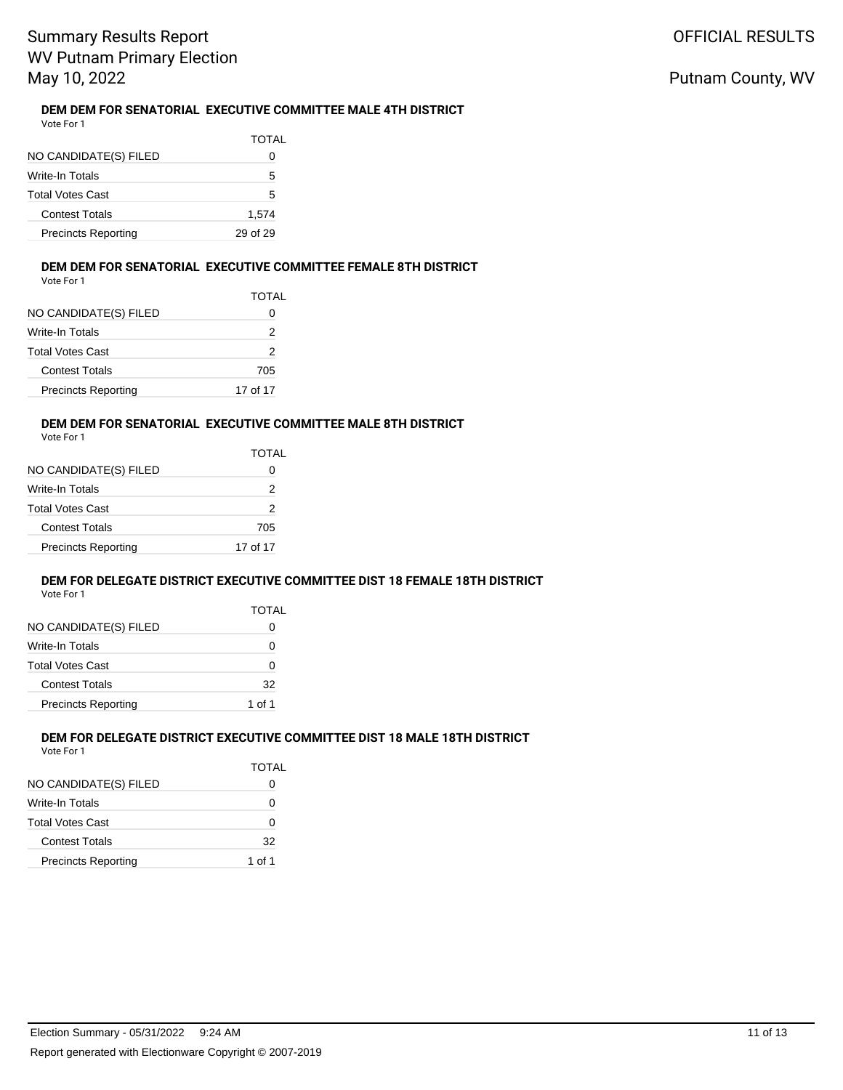#### **DEM DEM FOR SENATORIAL EXECUTIVE COMMITTEE MALE 4TH DISTRICT** Vote For 1

| NO CANDIDATE(S) FILED      | TOTAL<br>0 |
|----------------------------|------------|
| Write-In Totals            | 5          |
| <b>Total Votes Cast</b>    | 5          |
| <b>Contest Totals</b>      | 1,574      |
| <b>Precincts Reporting</b> | 29 of 29   |

#### **DEM DEM FOR SENATORIAL EXECUTIVE COMMITTEE FEMALE 8TH DISTRICT** Vote For 1

TOTAL

|                       | TOT. |
|-----------------------|------|
| NO CANDIDATE(S) FILED |      |
| Write In Totale       |      |

| Write-In Totals            |          |
|----------------------------|----------|
| Total Votes Cast           |          |
| <b>Contest Totals</b>      | 705      |
| <b>Precincts Reporting</b> | 17 of 17 |

### **DEM DEM FOR SENATORIAL EXECUTIVE COMMITTEE MALE 8TH DISTRICT**

| Vote For 1 |  |
|------------|--|
|            |  |

| NO CANDIDATE(S) FILED      | TOTAL<br>0 |
|----------------------------|------------|
| Write-In Totals            | 2          |
| Total Votes Cast           | 2          |
| <b>Contest Totals</b>      | 705        |
| <b>Precincts Reporting</b> | 17 of 17   |

### **DEM FOR DELEGATE DISTRICT EXECUTIVE COMMITTEE DIST 18 FEMALE 18TH DISTRICT**

|                            | TOTAL  |
|----------------------------|--------|
| NO CANDIDATE(S) FILED      | O      |
| Write-In Totals            | 0      |
| Total Votes Cast           | 0      |
| <b>Contest Totals</b>      | 32     |
| <b>Precincts Reporting</b> | 1 of 1 |

#### **DEM FOR DELEGATE DISTRICT EXECUTIVE COMMITTEE DIST 18 MALE 18TH DISTRICT** Vote For 1

| .                          | <b>TOTAL</b> |
|----------------------------|--------------|
| NO CANDIDATE(S) FILED      |              |
| Write-In Totals            | O            |
| <b>Total Votes Cast</b>    | 0            |
| <b>Contest Totals</b>      | 32           |
| <b>Precincts Reporting</b> | 1 of 1       |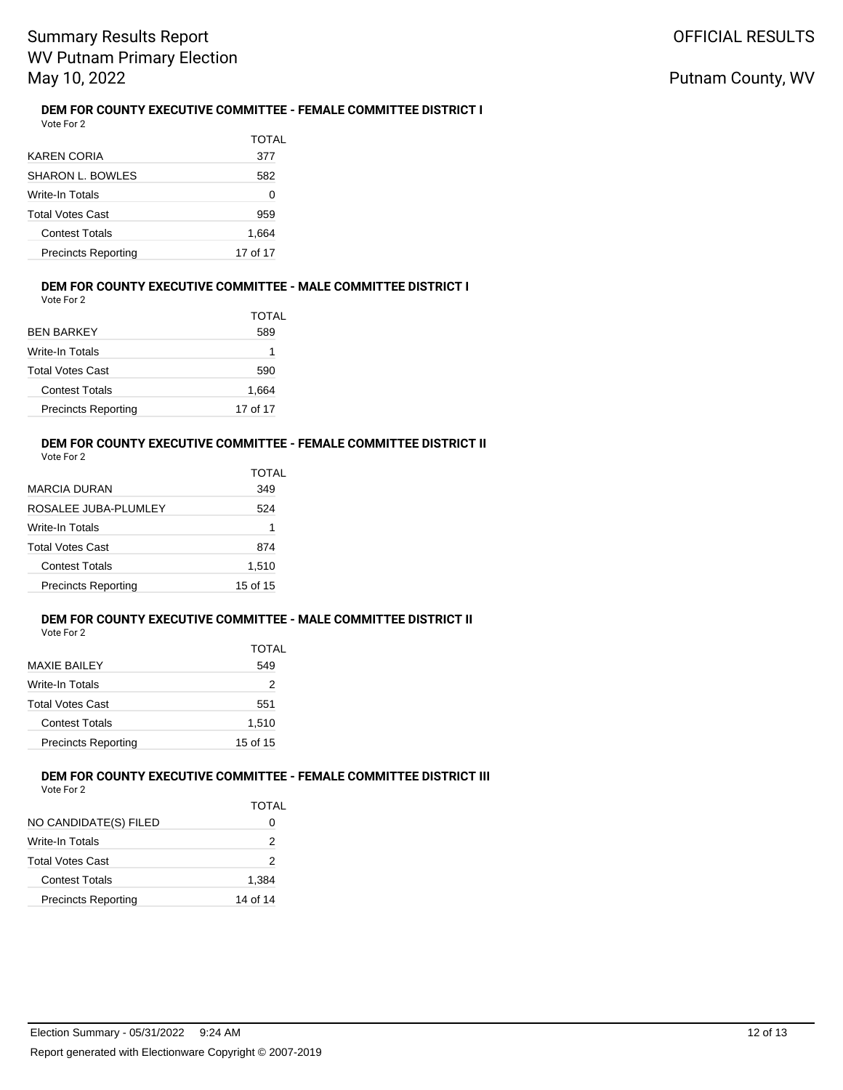#### **DEM FOR COUNTY EXECUTIVE COMMITTEE - FEMALE COMMITTEE DISTRICT I** Vote For 2

|                            | TOTAL    |
|----------------------------|----------|
| KAREN CORIA                | 377      |
| <b>SHARON L. BOWLES</b>    | 582      |
| <b>Write-In Totals</b>     | 0        |
| <b>Total Votes Cast</b>    | 959      |
| <b>Contest Totals</b>      | 1,664    |
| <b>Precincts Reporting</b> | 17 of 17 |

#### **DEM FOR COUNTY EXECUTIVE COMMITTEE - MALE COMMITTEE DISTRICT I**

Vote For 2

| TOTAL                                  |       |
|----------------------------------------|-------|
| BFN BARKFY                             | 589   |
| Write-In Totals                        | 1     |
| Total Votes Cast                       | 590   |
| <b>Contest Totals</b>                  | 1,664 |
| <b>Precincts Reporting</b><br>17 of 17 |       |

### **DEM FOR COUNTY EXECUTIVE COMMITTEE - FEMALE COMMITTEE DISTRICT II**

Vote For 2

|                            | TOTAL    |
|----------------------------|----------|
| MARCIA DURAN               | 349      |
| ROSALEE JUBA-PLUMLEY       | 524      |
| Write-In Totals            |          |
| Total Votes Cast           | 874      |
| <b>Contest Totals</b>      | 1,510    |
| <b>Precincts Reporting</b> | 15 of 15 |

### **DEM FOR COUNTY EXECUTIVE COMMITTEE - MALE COMMITTEE DISTRICT II**

Vote For 2

|                            | TOTAL    |
|----------------------------|----------|
| MAXIE BAILEY               | 549      |
| Write-In Totals            | 2        |
| Total Votes Cast           | 551      |
| <b>Contest Totals</b>      | 1,510    |
| <b>Precincts Reporting</b> | 15 of 15 |

#### **DEM FOR COUNTY EXECUTIVE COMMITTEE - FEMALE COMMITTEE DISTRICT III** Vote For 2

|                            | TOTAL    |
|----------------------------|----------|
| NO CANDIDATE(S) FILED      |          |
| Write-In Totals            | 2        |
| Total Votes Cast           | 2        |
| <b>Contest Totals</b>      | 1,384    |
| <b>Precincts Reporting</b> | 14 of 14 |
|                            |          |